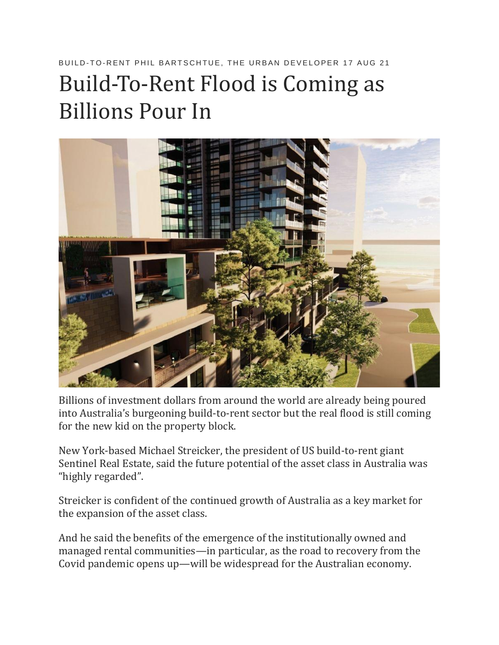## BUILD-TO-RENT PHIL BARTSCHTUE. THE URBAN DEVELOPER 17 AUG 21

## Build-To-Rent Flood is Coming as Billions Pour In



Billions of investment dollars from around the world are already being poured into Australia's burgeoning build-to-rent sector but the real flood is still coming for the new kid on the property block.

New York-based Michael Streicker, the president of US build-to-rent giant Sentinel Real Estate, said the future potential of the asset class in Australia was "highly regarded".

Streicker is confident of the continued growth of Australia as a key market for the expansion of the asset class.

And he said the benefits of the emergence of the institutionally owned and managed rental communities—in particular, as the road to recovery from the Covid pandemic opens up—will be widespread for the Australian economy.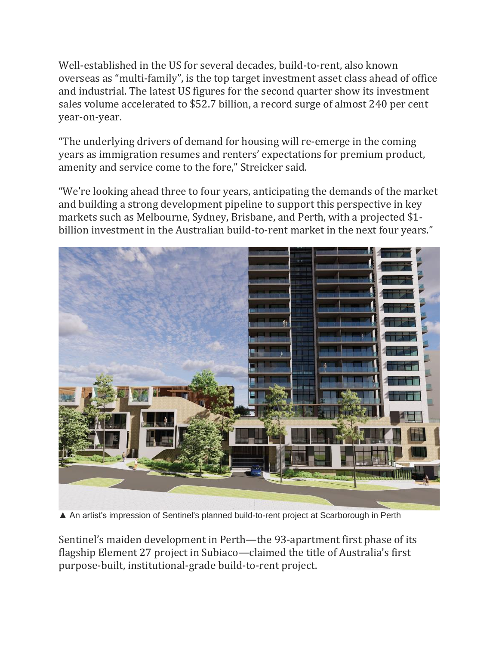Well-established in the US for several decades, build-to-rent, also known overseas as "multi-family", is the top target investment asset class ahead of office and industrial. The latest US figures for the second quarter show its investment sales volume accelerated to \$52.7 billion, a record surge of almost 240 per cent year-on-year.

"The underlying drivers of demand for housing will re-emerge in the coming years as immigration resumes and renters' expectations for premium product, amenity and service come to the fore," Streicker said.

"We're looking ahead three to four years, anticipating the demands of the market and building a strong development pipeline to support this perspective in key markets such as Melbourne, Sydney, Brisbane, and Perth, with a projected \$1 billion investment in the Australian build-to-rent market in the next four years."



▲ An artist's impression of Sentinel's planned build-to-rent project at Scarborough in Perth

Sentinel's maiden development in Perth—the 93-apartment first phase of its flagship Element 27 project in Subiaco—claimed the title of Australia's first purpose-built, institutional-grade build-to-rent project.